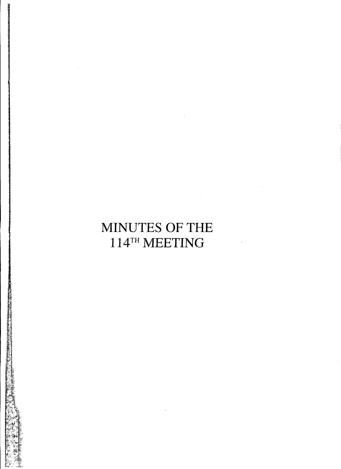# **MINUTES OF THE** 114TH **MEETING**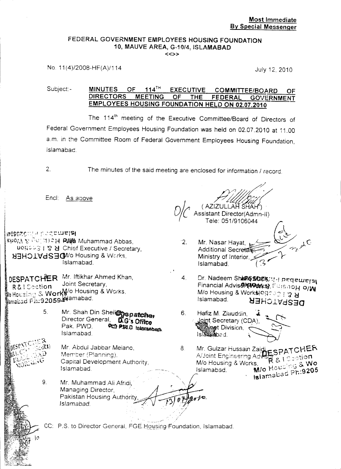#### FEDERAL GOVERNMENT EMPLOYEES HOUSING FOUNDATION 10, MAUVE AREA, G-10/4, ISLAMABAD  $\langle \langle \rangle \rangle$

No. 11(4)/2008-HF(A)/114 July 12, 2010

#### Subject:- MINUTES OF 114<sup>TH</sup> EXECUTIVE COMMITTEE/BOARD OF DIRECTORS MEETING OF THE FEDERAL GOVERNMENT MEETING OF THE FEDERAL GOVERNMENT EMPLOYEES HOUSING FOUNDATION HELD ON 02.07.2010

The 114<sup>th</sup> meeting of the Executive Committee/Board of Directors of Federal Government Employees Housing Foundation was held on 02.07.2010 at 11.00 a.m. in the Committee Room of Federal Government Employees Housing Foundation, Islamabad.

 $2.$ 

The minutes of the said meeting are enclosed for information / record.

Encl: As above

~rGSc~c:'.:-J ;'.~-:::'C~eisl S#07A 등 <sup>유</sup>리 계1**: H RA&** Muhammad Abbas, uogous | 7 **H** Chief Executive / Secretary, **NEHOIVdSECM/o Housing & VVcrks,** Islamabad.

DESPATCHER Mr. Iftikhar Ahmed Khan,  $\frac{1}{R}$   $\frac{1}{R}$   $\frac{1}{R}$   $\frac{1}{R}$  ...,  $\frac{1}{R}$  ...,  $\frac{1}{R}$  ...,  $\frac{1}{R}$  ...,  $\frac{1}{R}$ HCL:~;~:~'!"i4*WortMlo* Housing & WGrks, , . ~~.'9"'059Q1t9Jamabad. maLl.;;a 1-.•~- .•..

> Mr. Shah Din Shei<sup>1</sup><sub>pspatcher</sub> Director General, **DG's Office**<br>Pak. PWD. PCP PWD blassabes Pak. PWD. Islamabad. 5.

> > Mr. Abdui Jabbar Meiano, Member (Planning), Capital Development Authority, Islamabad.

Mr. Muhammad Ali Afridi, Managing Director, . Pakistan Housing Authorit Islamabad. . 9.

(AZIZULLAff~A~ */?l~U*. Assistant Director(Admn-Tele: 051/9106044  $U/C$  /

2. Mr. Nasar Hayat, *https://def/2004*  $\mathbf{r}$  . . Additional Secretar Ministry of Interior. Islamabad.

~

- Dr. Nadeem ShanGStatis; 4 Peqeurers Financial Advis**&\*(WWks)**, Eursho**H 0/W** *Mlo* Housing & Work\$4oq:- <:: ! "J <sup>~</sup> **DESPATCHER** 4.
- Hafiz M. Ziauddin, Loint Secretary (CDA), t Division.  $Is B$   $\mathbb{R}$   $\mathbb{Z}$   $\mathbb{Z}$   $\mathbb{Z}$   $\mathbb{Z}$   $\mathbb{Z}$   $\mathbb{Z}$   $\mathbb{Z}$   $\mathbb{Z}$   $\mathbb{Z}$   $\mathbb{Z}$   $\mathbb{Z}$   $\mathbb{Z}$   $\mathbb{Z}$   $\mathbb{Z}$   $\mathbb{Z}$   $\mathbb{Z}$   $\mathbb{Z}$   $\mathbb{Z}$   $\mathbb{Z}$   $\mathbb{Z}$   $\mathbb{Z}$   $\mathbb{Z}$   $\mathbb{Z}$  6.

Mr. Guizar Hussain Zai**g<sub>e S.P.A.T.C**.</sub> A/Joint Engineering Advisor (in sot**ion** *Mlo* Housir.g & Works, .*,,'r';"* &. Wo Islamabad. **MJo Housing C 1205** 8

CC: P.S. to Director General, FGE Housing Foundation, Islamabad.

- -,/ .!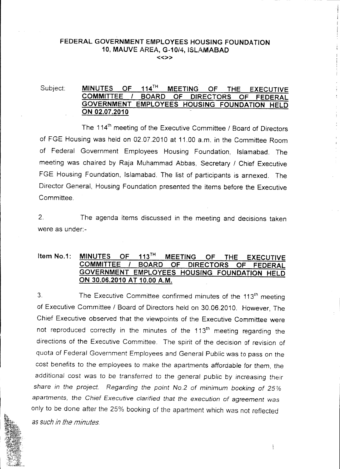#### FEDERAL GOVERNMENT EMPLOYEES HOUSING FOUNDATION 10, MAUVE AREA, G-10/4, ISLAMABAD «»

### Subject: MINUTES OF 114<sup>TH</sup> MEETING OF THE EXECUTIVE COMMITTEE *I* BOARD OF DIRECTORS OF FEDERAL GOVERNMENT EMPLOYEES HOUSING FOUNDATION HELD ON 02.07.2010

The 114<sup>th</sup> meeting of the Executive Committee / Board of Directors of FGE Housing was heid on 02.07.2010 at 11.00 a.m. in the Committee Room of Federal Government Employees Housing Foundation, Islamabad. The meeting was chaired by Raja Muhammad Abbas, Secretary / Chief Executive FGE Housing Foundation, Islamabad. The list of participants is annexed. The Director General, Housing Foundation presented the items before the Executive Committee.

2. The agenda items discussed in the meeting and decisions taken were as under:-

#### Item No.1: MINUTES OF 113TH MEETING OF THE EXECUTIVE COMMITTEE *I* BOARD OF DIRECTORS OF FEDERAL GOVERNMENT EMPLOYEES HOUSING FOUNDATION HELD ON 30.06.2010 AT 10.00 A.M.

3. The Executive Committee confirmed minutes of the 113<sup>th</sup> meeting of Executive Committee / Board of Directors held on 30.06.2010. However, The Chief Executive observed that the viewpoints of the Executive Committee were not reproduced correctly in the minutes of the 113<sup>th</sup> meeting regarding the directions of the Executive Committee. The spirit of the decision of revision of quota of Federal Government Employees and General Public was to pass on the cost benefits to the employees to make the apartments affordable for them, the additional cost was to be transferred to the general public by *increasing* their *share in the project. Regarding the point No.2* of *minimum booking of 25% apartments, the Chief Executive clarified that the execution* of *agreement was* only to be done after the 25% booking of the apartment which was not reflected as *such in the minutes.*

Ì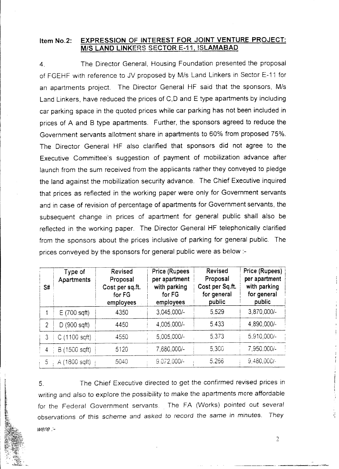#### Item No.2: EXPRESSION OF INTEREST FOR JOINT VENTURE PROJECT: M/S LAND LINKERS SECTOR E-11, ISLAMABAD

4. The Director General, Housing Foundation presented the proposal of FGEHF with reference to JV proposed by MIs Land Linkers in Sector E-11 for an apartments project. The Director General HF said that the sponsors, *MIs* Land Linkers, have reduced the prices of C,D and E type apartments by including car parking space in the quoted prices while car parking has not been included in prices of A and B type apartments. Further, the sponsors agreed to reduce the Government servants allotment share in apartments to 60% from proposed 75%. The Director General HF also clarified that sponsors did not agree to the Executive Committee's suggestion of payment of mobilization advance after launch from the sum received from the applicants rather they conveyed to pledge the land against the mobilization security advance. The Chief Executive inquired that prices as reflected in the working paper were only for Government servants and in case of revision of percentage of apartments for Government servants, the subsequent change in prices of apartment for general public shall also be reflected in the working paper. The Director General HF telephonically clarified from the sponsors about the prices inclusive of parking for general public. The prices conveyed by the sponsors for general public were as below :-

| S#             | Type of<br><b>Apartments</b> | <b>Revised</b><br>Proposal<br>Cost per sq.ft.<br>for FG<br>employees | Price (Rupees<br>per apartment<br>with parking<br>for FG<br>employees | <b>Revised</b><br>Proposal<br>Cost per Sq.ft.<br>for general<br>public | Price (Rupees)<br>per apartment<br>with parking<br>for general<br>public |
|----------------|------------------------------|----------------------------------------------------------------------|-----------------------------------------------------------------------|------------------------------------------------------------------------|--------------------------------------------------------------------------|
|                | E(700 sqft)                  | 4350                                                                 | 3,045,000/-                                                           | 5,529                                                                  | 3,870,000/-                                                              |
| $\overline{2}$ | D(900 sqft)                  | 4450                                                                 | 4,005,000/-                                                           | 5,433                                                                  | 4,890,000/-                                                              |
| 3              | C(1100 sqft)                 | 4550                                                                 | 5,005,000/-                                                           | 5.373                                                                  | 5,910,000/-                                                              |
| $\overline{4}$ | B (1500 sqft)                | 5120                                                                 | 7,680,000/-                                                           | 5,300                                                                  | 7,950.000/-                                                              |
| 5              | A (1800 sqft)                | 5040                                                                 | 9.072,000/-                                                           | 5.266                                                                  | 9,480,000/-                                                              |

5. The Chief Executive directed to get the confirmed revised prices in writing and also to explore the possibility to make the apartments mere affordable for the Federal Government servants. The FA (Works) pointed out several observations of *this* scheme and asked to record the same in minutes. *They were .'-*

2

, " I

---------- -~\_.~.. \_. ----\_.~..'-;~ •......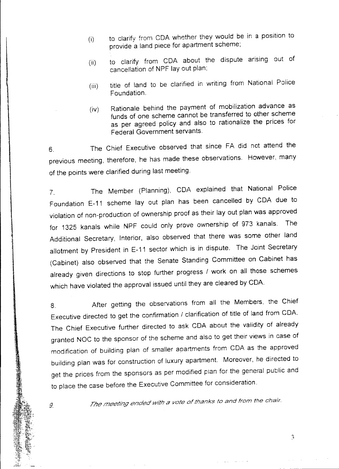- (i) to clarify from COA whether they would be in a position to provide a land piece for apartment scheme;
- (ii) to clarify from COA about the dispute arising out of cancellation of NPF lay out plan;
- (iii) title of land to be clarified in writing from National Police Foundation.
- (iv) Rationale behind the payment of mobilization advance as funds of one scheme cannot be transferred to other scheme as per agreed policy and also to rationalize the prices for Federal Government servants.

6. The Chief Executive observed that since FA did not attend the previous meeting, therefore, he has made these observations. However, many of the points were clarified during last meeting.

 $\mathbf{\mathbf{I}}$ 

7. The Member (Planning), COA explained that National Police Foundation E-11 scheme lay out plan has been cancelled by CDA due to violation of non-production of ownership proof as their layout plan was approved for 1325 kanals while NPF could only prove ownership of 973 kanals. The Additional Secretary, Interior, also observed that there was some other land allotment by President in E-11 sector which is in dispute. The Joint Secretary (Cabinet) also observed that the Senate Standing Committee on Cabinet has already given directions to stop further progress / work on all those schemes which have violated the approval issued until they are cleared by COA.

8. After getting the observations from all the Members, the Chief Executive directed to get the confirmation / clarification of title of land from COA. The Chief Executive further directed to ask COA about the validity of already granted NOC to the sponsor of the scheme and also to get their views in case of modification of building plan of smaller apartments from COA as the approved building plan was for construction of luxury apartment. Moreover, he directed to get the prices from the sponsors as per modified pian for the general public and to place the case before the Executive Committee for consideration.

9. *The meet/ng ended with <sup>a</sup> vote of thanks to and from the chair.*